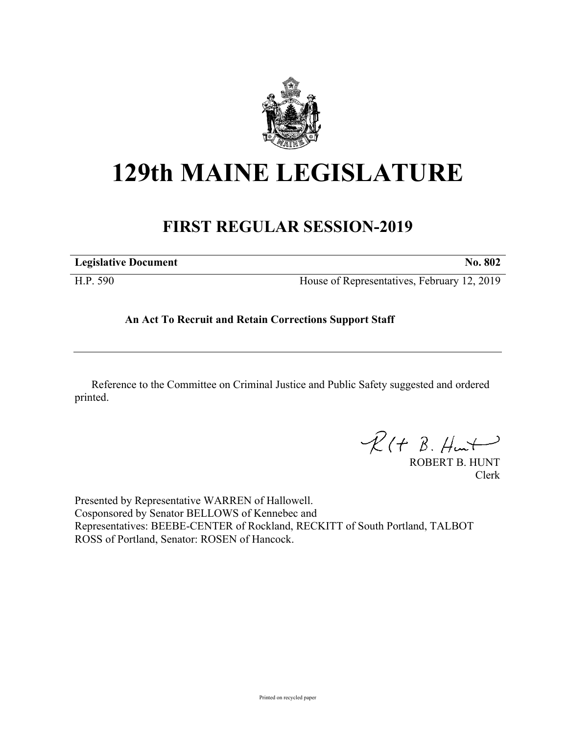

## **129th MAINE LEGISLATURE**

## **FIRST REGULAR SESSION-2019**

| <b>Legislative Document</b> | <b>No. 802</b>                              |
|-----------------------------|---------------------------------------------|
| H.P. 590                    | House of Representatives, February 12, 2019 |

## **An Act To Recruit and Retain Corrections Support Staff**

Reference to the Committee on Criminal Justice and Public Safety suggested and ordered printed.

 $R(H B. H<sub>un</sub>+)$ 

ROBERT B. HUNT Clerk

Presented by Representative WARREN of Hallowell. Cosponsored by Senator BELLOWS of Kennebec and Representatives: BEEBE-CENTER of Rockland, RECKITT of South Portland, TALBOT ROSS of Portland, Senator: ROSEN of Hancock.